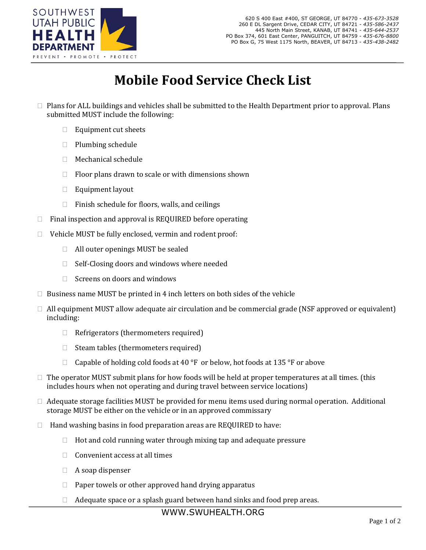

## **Mobile Food Service Check List**

- $\Box$  Plans for ALL buildings and vehicles shall be submitted to the Health Department prior to approval. Plans submitted MUST include the following:
	- $\Box$  Equipment cut sheets
	- $\Box$  Plumbing schedule
	- Mechanical schedule
	- $\Box$  Floor plans drawn to scale or with dimensions shown
	- $\Box$  Equipment layout
	- $\Box$  Finish schedule for floors, walls, and ceilings
- $\Box$  Final inspection and approval is REQUIRED before operating
- $\Box$  Vehicle MUST be fully enclosed, vermin and rodent proof:
	- $\Box$  All outer openings MUST be sealed
	- $\Box$  Self-Closing doors and windows where needed
	- $\Box$  Screens on doors and windows
- $\Box$  Business name MUST be printed in 4 inch letters on both sides of the vehicle
- $\Box$  All equipment MUST allow adequate air circulation and be commercial grade (NSF approved or equivalent) including:
	- $\Box$  Refrigerators (thermometers required)
	- $\Box$  Steam tables (thermometers required)
	- $\Box$  Capable of holding cold foods at 40 °F or below, hot foods at 135 °F or above
- $\Box$  The operator MUST submit plans for how foods will be held at proper temperatures at all times. (this includes hours when not operating and during travel between service locations)
- $\Box$  Adequate storage facilities MUST be provided for menu items used during normal operation. Additional storage MUST be either on the vehicle or in an approved commissary
- $\Box$  Hand washing basins in food preparation areas are REQUIRED to have:
	- $\Box$  Hot and cold running water through mixing tap and adequate pressure
	- $\Box$  Convenient access at all times
	- $\Box$  A soap dispenser
	- $\Box$  Paper towels or other approved hand drying apparatus
	- $\Box$  Adequate space or a splash guard between hand sinks and food prep areas.